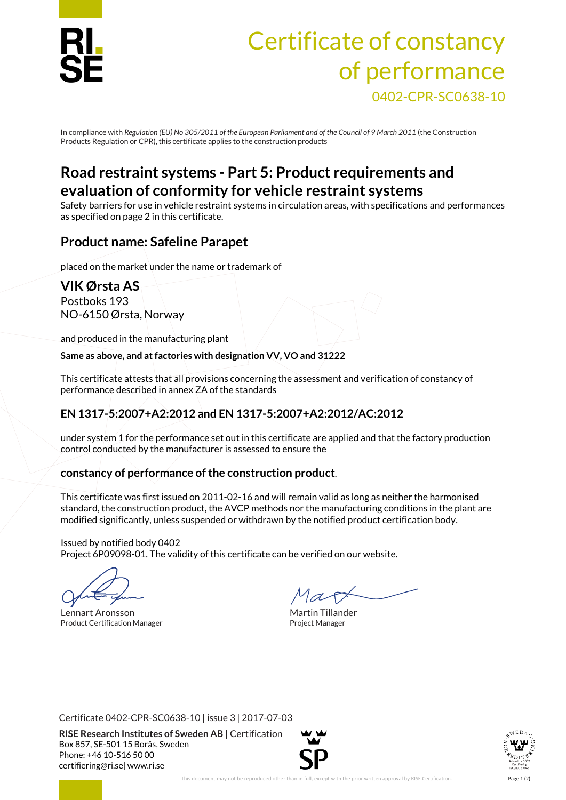

# Certificate of constancy of performance 0402-CPR-SC0638-10

In compliance with *Regulation (EU)No 305/2011 of the European Parliament and of the Council of 9 March 2011* (the Construction Products Regulation or CPR), this certificate applies to the construction products

# **Road restraint systems - Part 5: Product requirements and evaluation of conformity for vehicle restraint systems**

Safety barriers for use in vehicle restraint systems in circulation areas, with specifications and performances as specified on page 2 in this certificate.

## **Product name: Safeline Parapet**

placed on the market under the name or trademark of

**VIK Ørsta AS** Postboks 193 NO-6150 Ørsta, Norway

and produced in the manufacturing plant

**Same as above, and at factories with designation VV, VO and 31222**

This certificate attests that all provisions concerning the assessment and verification of constancy of performance described in annex ZA of the standards

## **EN 1317-5:2007+A2:2012 and EN 1317-5:2007+A2:2012/AC:2012**

under system 1 for the performance set out in this certificate are applied and that the factory production control conducted by the manufacturer is assessed to ensure the

## **constancy of performance of the construction product**.

This certificate was first issued on 2011-02-16 and will remain valid as long as neither the harmonised standard, the construction product, the AVCP methods nor the manufacturing conditions in the plant are modified significantly, unless suspended or withdrawn by the notified product certification body.

Issued by notified body 0402 Project 6P09098-01. The validity of this certificate can be verified on our website.

Lennart Aronsson and The Martin Tillander Product Certification Manager **Product Certification Manager** Project Manager

Certificate 0402-CPR-SC0638-10 | issue 3 | 2017-07-03

**RISE Research Institutes of Sweden AB |** Certification Box 857, SE-501 15 Borås, Sweden Phone: +46 10-516 50 00 [certifiering@ri.se|](mailto:certifiering@ri.se) www.ri.se